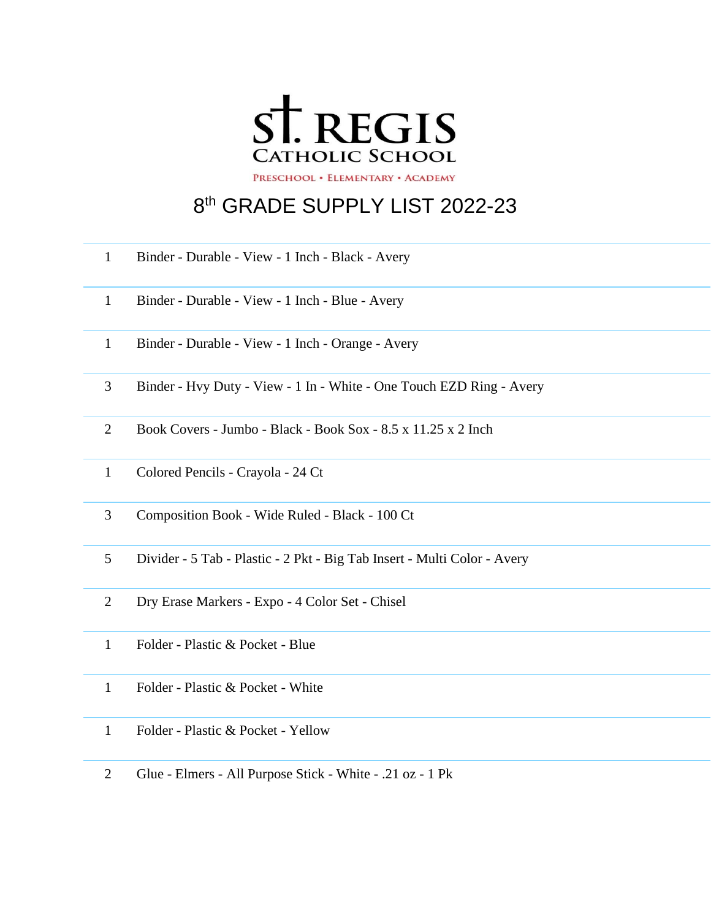

## th GRADE SUPPLY LIST 2022-23

- Binder Durable View 1 Inch Black Avery
- Binder Durable View 1 Inch Blue Avery
- Binder Durable View 1 Inch Orange Avery
- Binder Hvy Duty View 1 In White One Touch EZD Ring Avery
- Book Covers Jumbo Black Book Sox 8.5 x 11.25 x 2 Inch
- Colored Pencils Crayola 24 Ct
- Composition Book Wide Ruled Black 100 Ct
- Divider 5 Tab Plastic 2 Pkt Big Tab Insert Multi Color Avery
- Dry Erase Markers Expo 4 Color Set Chisel
- Folder Plastic & Pocket Blue
- Folder Plastic & Pocket White
- Folder Plastic & Pocket Yellow
- Glue Elmers All Purpose Stick White .21 oz 1 Pk